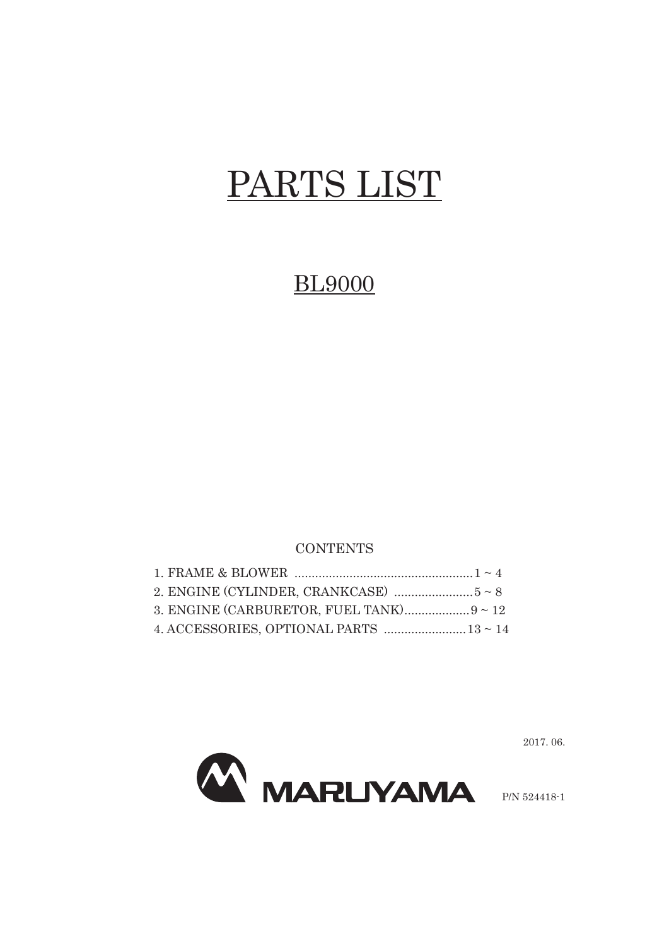## PARTS LIST

## BL9000

## **CONTENTS**



2017. 06.

P/N 524418-1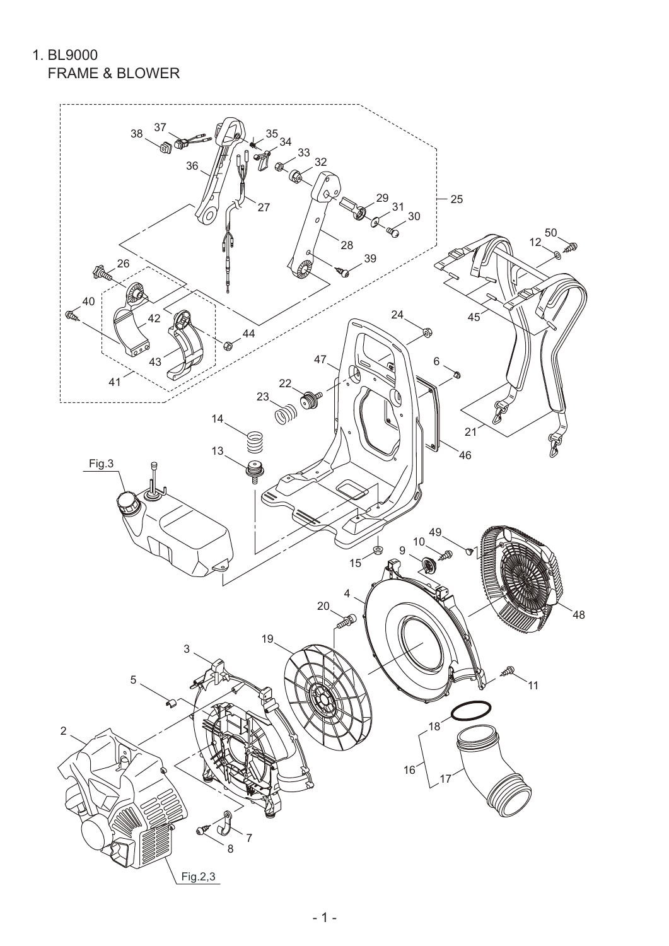1. BL9000 FRAME & BLOWER

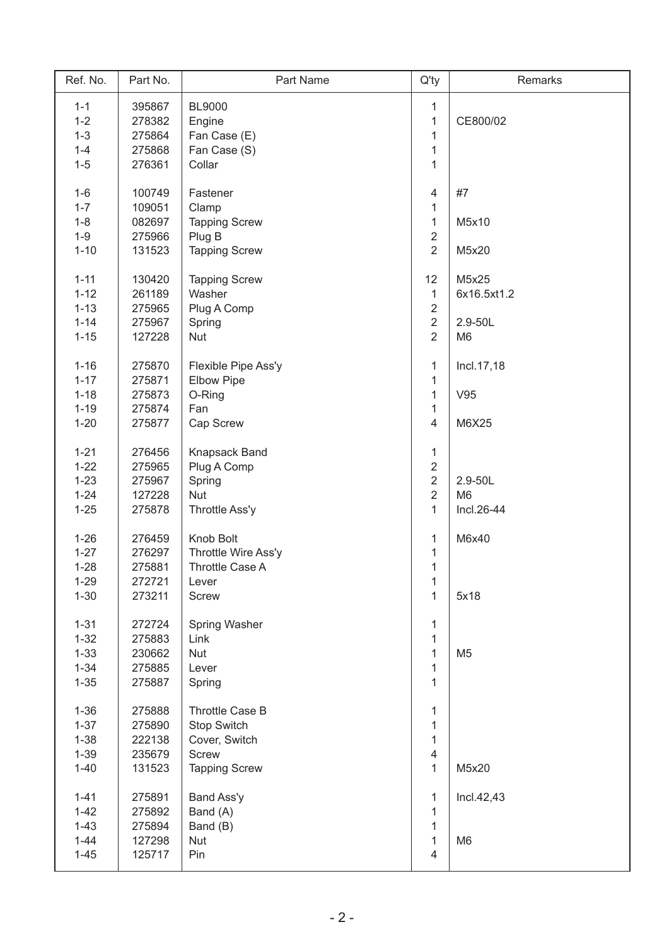| Ref. No. | Part No. | Part Name            | $Q'$ ty        | Remarks        |
|----------|----------|----------------------|----------------|----------------|
| $1 - 1$  | 395867   | <b>BL9000</b>        | 1              |                |
| $1 - 2$  | 278382   | Engine               | $\mathbf 1$    | CE800/02       |
| $1 - 3$  | 275864   | Fan Case (E)         | $\mathbf{1}$   |                |
| $1 - 4$  | 275868   | Fan Case (S)         | 1              |                |
| $1-5$    | 276361   | Collar               | $\mathbf{1}$   |                |
|          |          |                      |                |                |
| $1-6$    | 100749   | Fastener             | 4              | #7             |
| $1 - 7$  | 109051   | Clamp                | 1              |                |
| $1 - 8$  | 082697   | <b>Tapping Screw</b> | $\mathbf{1}$   | M5x10          |
| $1 - 9$  | 275966   | Plug B               | $\overline{2}$ |                |
| $1 - 10$ | 131523   | <b>Tapping Screw</b> | $\overline{2}$ | M5x20          |
| $1 - 11$ | 130420   | <b>Tapping Screw</b> | 12             | M5x25          |
| $1 - 12$ | 261189   | Washer               | $\mathbf{1}$   | 6x16.5xt1.2    |
| $1 - 13$ | 275965   | Plug A Comp          | $\overline{2}$ |                |
| $1 - 14$ | 275967   | Spring               | $\overline{2}$ | 2.9-50L        |
| $1 - 15$ | 127228   | Nut                  | $\overline{2}$ | M <sub>6</sub> |
|          |          |                      |                |                |
| $1 - 16$ | 275870   | Flexible Pipe Ass'y  | $\mathbf{1}$   | Incl. 17, 18   |
| $1 - 17$ | 275871   | <b>Elbow Pipe</b>    | $\mathbf{1}$   |                |
| $1 - 18$ | 275873   | O-Ring               | $\mathbf{1}$   | V95            |
| $1 - 19$ | 275874   | Fan                  | 1              |                |
| $1 - 20$ | 275877   | Cap Screw            | $\overline{4}$ | M6X25          |
|          |          |                      |                |                |
| $1 - 21$ | 276456   | Knapsack Band        | $\mathbf{1}$   |                |
| $1 - 22$ | 275965   | Plug A Comp          | $\overline{2}$ |                |
| $1 - 23$ | 275967   | Spring               | $\overline{2}$ | 2.9-50L        |
| $1 - 24$ | 127228   | Nut                  | $\overline{2}$ | M <sub>6</sub> |
| $1 - 25$ | 275878   | Throttle Ass'y       | $\mathbf{1}$   | Incl.26-44     |
| $1 - 26$ | 276459   | Knob Bolt            | 1              | M6x40          |
| $1 - 27$ | 276297   | Throttle Wire Ass'y  | $\mathbf 1$    |                |
| $1 - 28$ | 275881   | Throttle Case A      | $\mathbf 1$    |                |
| $1 - 29$ | 272721   | Lever                | $\mathbf 1$    |                |
| $1 - 30$ | 273211   | Screw                | $\mathbf{1}$   | 5x18           |
|          |          |                      |                |                |
| $1 - 31$ | 272724   | Spring Washer        | 1              |                |
| $1 - 32$ | 275883   | Link                 | 1              |                |
| $1 - 33$ | 230662   | <b>Nut</b>           | 1              | M <sub>5</sub> |
| $1 - 34$ | 275885   | Lever                | 1              |                |
| $1 - 35$ | 275887   | Spring               | 1              |                |
| $1 - 36$ | 275888   | Throttle Case B      | 1              |                |
| $1 - 37$ | 275890   | <b>Stop Switch</b>   | 1              |                |
| $1 - 38$ | 222138   | Cover, Switch        | 1              |                |
| $1 - 39$ | 235679   | Screw                | 4              |                |
|          |          |                      | $\mathbf{1}$   |                |
| $1 - 40$ | 131523   | <b>Tapping Screw</b> |                | M5x20          |
| $1 - 41$ | 275891   | Band Ass'y           | $\mathbf{1}$   | Incl.42,43     |
| $1 - 42$ | 275892   | Band (A)             | 1              |                |
| $1 - 43$ | 275894   | Band (B)             | 1              |                |
| $1 - 44$ | 127298   | <b>Nut</b>           | $\mathbf{1}$   | M <sub>6</sub> |
| $1 - 45$ | 125717   | Pin                  | $\overline{4}$ |                |
|          |          |                      |                |                |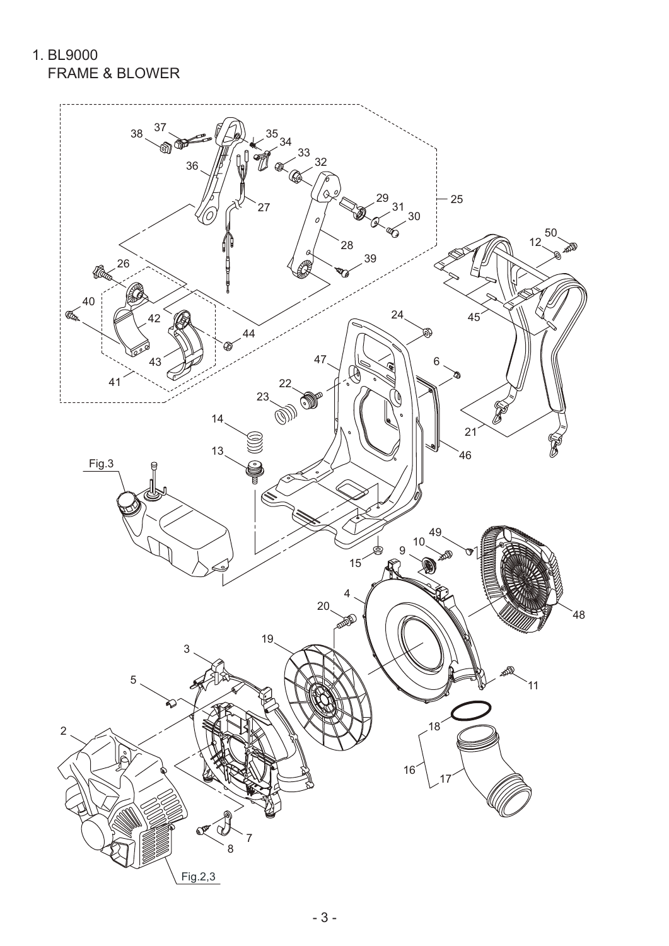1. BL9000 FRAME & BLOWER

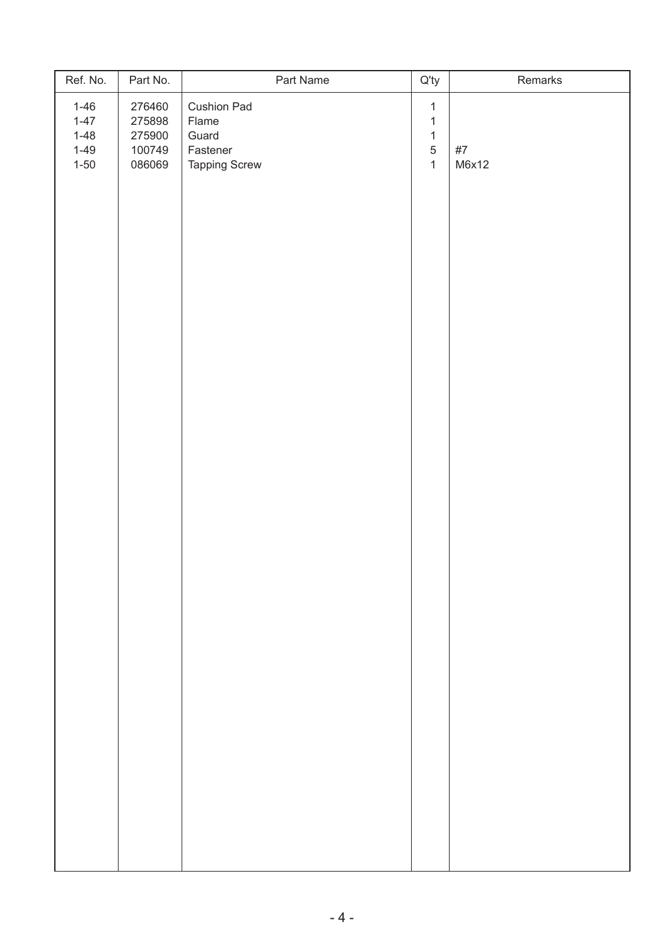| Ref. No.                                                 | Part No.                                       | Part Name                                                         | $Q'$ ty                                                                    | Remarks     |
|----------------------------------------------------------|------------------------------------------------|-------------------------------------------------------------------|----------------------------------------------------------------------------|-------------|
| $1 - 46$<br>$1 - 47$<br>$1 - 48$<br>$1 - 49$<br>$1 - 50$ | 276460<br>275898<br>275900<br>100749<br>086069 | Cushion Pad<br>Flame<br>Guard<br>Fastener<br><b>Tapping Screw</b> | $\mathbf{1}$<br>$\mathbf{1}$<br>$\mathbf{1}$<br>$\sqrt{5}$<br>$\mathbf{1}$ | #7<br>M6x12 |
|                                                          |                                                |                                                                   |                                                                            |             |
|                                                          |                                                |                                                                   |                                                                            |             |
|                                                          |                                                |                                                                   |                                                                            |             |
|                                                          |                                                |                                                                   |                                                                            |             |
|                                                          |                                                |                                                                   |                                                                            |             |
|                                                          |                                                |                                                                   |                                                                            |             |
|                                                          |                                                |                                                                   |                                                                            |             |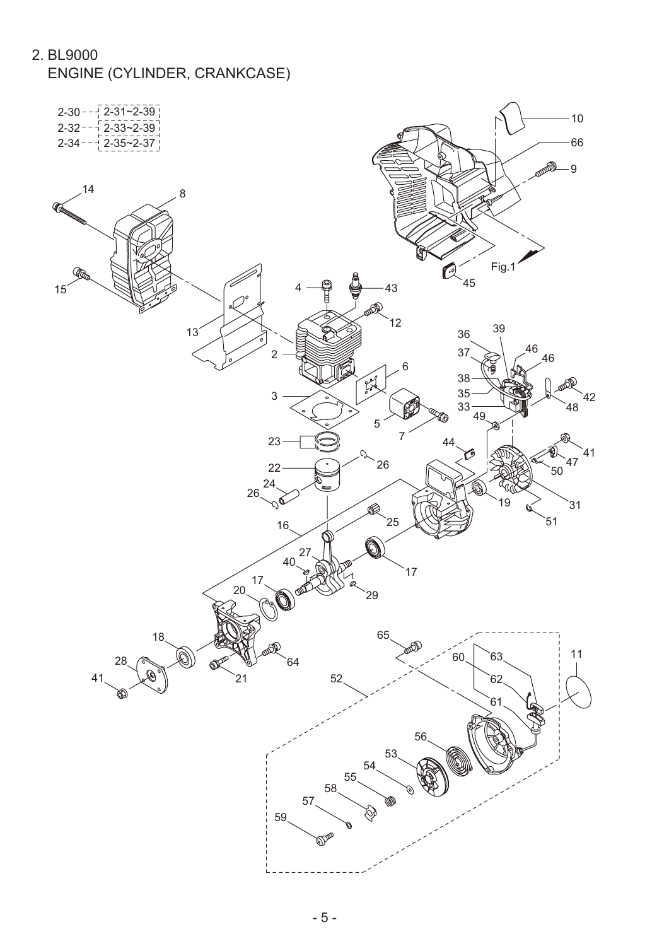2. BL9000

ENGINE (CYLINDER, CRANKCASE)

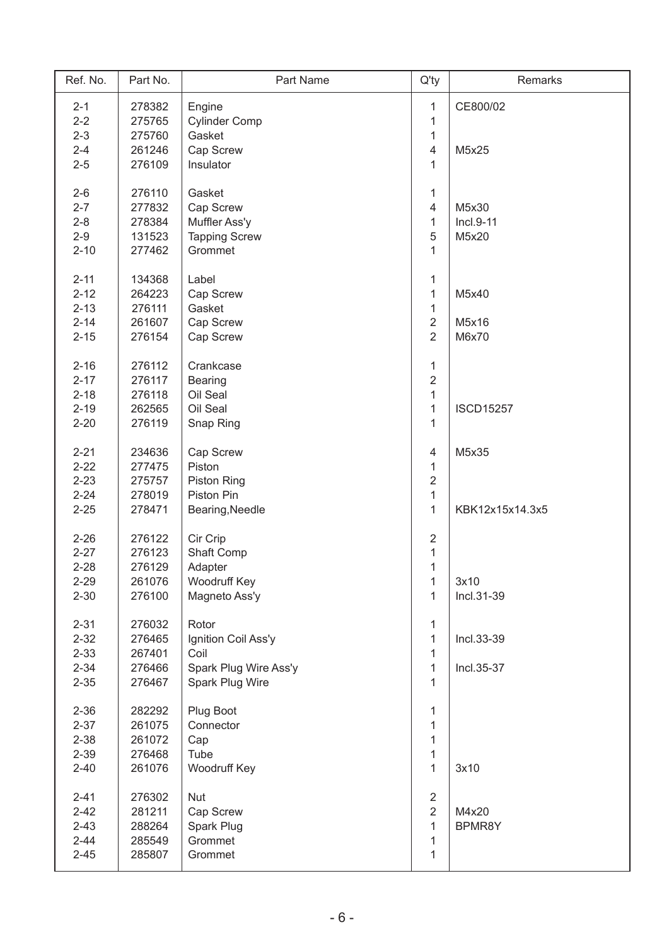| Ref. No. | Part No. | Part Name             | $Q'$ ty                 | Remarks          |
|----------|----------|-----------------------|-------------------------|------------------|
| $2 - 1$  | 278382   | Engine                | 1                       | CE800/02         |
| $2 - 2$  | 275765   | <b>Cylinder Comp</b>  | 1                       |                  |
| $2 - 3$  | 275760   | Gasket                | $\mathbf{1}$            |                  |
| $2 - 4$  | 261246   | Cap Screw             | 4                       | M5x25            |
| $2 - 5$  | 276109   | Insulator             | 1                       |                  |
|          |          |                       |                         |                  |
| $2 - 6$  | 276110   | Gasket                | 1                       |                  |
| $2 - 7$  | 277832   | Cap Screw             | $\overline{4}$          | M5x30            |
| $2 - 8$  | 278384   | Muffler Ass'y         | 1                       | $Incl.9-11$      |
| $2 - 9$  | 131523   | <b>Tapping Screw</b>  | 5                       | M5x20            |
| $2 - 10$ | 277462   | Grommet               | $\mathbf{1}$            |                  |
|          |          |                       |                         |                  |
| $2 - 11$ | 134368   | Label                 | $\mathbf{1}$            |                  |
| $2 - 12$ | 264223   | Cap Screw             | $\mathbf{1}$            | M5x40            |
| $2 - 13$ | 276111   | Gasket                | $\mathbf{1}$            |                  |
| $2 - 14$ | 261607   | Cap Screw             | $\overline{2}$          | M5x16            |
| $2 - 15$ | 276154   | Cap Screw             | $\overline{2}$          | M6x70            |
|          |          |                       |                         |                  |
| $2 - 16$ | 276112   | Crankcase             | $\mathbf{1}$            |                  |
| $2 - 17$ | 276117   | <b>Bearing</b>        | $\overline{2}$          |                  |
| $2 - 18$ | 276118   | Oil Seal              | $\mathbf 1$             |                  |
| $2 - 19$ | 262565   | Oil Seal              | 1                       | <b>ISCD15257</b> |
| $2 - 20$ | 276119   | Snap Ring             | 1                       |                  |
|          |          |                       |                         |                  |
| $2 - 21$ | 234636   | Cap Screw             | 4                       | M5x35            |
| $2 - 22$ | 277475   | Piston                | $\mathbf{1}$            |                  |
| $2 - 23$ | 275757   | <b>Piston Ring</b>    | $\overline{2}$          |                  |
| $2 - 24$ | 278019   | Piston Pin            | $\mathbf{1}$            |                  |
| $2 - 25$ | 278471   | Bearing, Needle       | $\mathbf{1}$            | KBK12x15x14.3x5  |
|          |          |                       |                         |                  |
| $2 - 26$ | 276122   | Cir Crip              | $\overline{\mathbf{c}}$ |                  |
| $2 - 27$ | 276123   | Shaft Comp            | $\mathbf{1}$            |                  |
| $2 - 28$ | 276129   | Adapter               | $\mathbf 1$             |                  |
| $2 - 29$ | 261076   | Woodruff Key          | $\mathbf{1}$            | 3x10             |
| $2 - 30$ | 276100   | Magneto Ass'y         | 1                       | Incl.31-39       |
|          |          |                       |                         |                  |
| $2 - 31$ | 276032   | Rotor                 | 1                       |                  |
| $2 - 32$ | 276465   | Ignition Coil Ass'y   | $\mathbf{1}$            | Incl.33-39       |
| $2 - 33$ | 267401   | Coil                  | 1                       |                  |
| $2 - 34$ | 276466   | Spark Plug Wire Ass'y | $\mathbf{1}$            | Incl.35-37       |
| $2 - 35$ | 276467   | Spark Plug Wire       | $\mathbf{1}$            |                  |
|          |          |                       |                         |                  |
| $2 - 36$ | 282292   | Plug Boot             | 1                       |                  |
| $2 - 37$ | 261075   | Connector             | 1                       |                  |
| $2 - 38$ | 261072   | Cap                   | $\mathbf{1}$            |                  |
| $2 - 39$ | 276468   | Tube                  | 1                       |                  |
| $2 - 40$ | 261076   | Woodruff Key          | $\mathbf{1}$            | 3x10             |
|          |          |                       |                         |                  |
| $2 - 41$ | 276302   | <b>Nut</b>            | $\overline{2}$          |                  |
| $2 - 42$ | 281211   | Cap Screw             | $\overline{2}$          | M4x20            |
| $2 - 43$ | 288264   | Spark Plug            | $\mathbf{1}$            | BPMR8Y           |
| $2 - 44$ | 285549   | Grommet               | 1                       |                  |
| $2 - 45$ | 285807   | Grommet               | 1                       |                  |
|          |          |                       |                         |                  |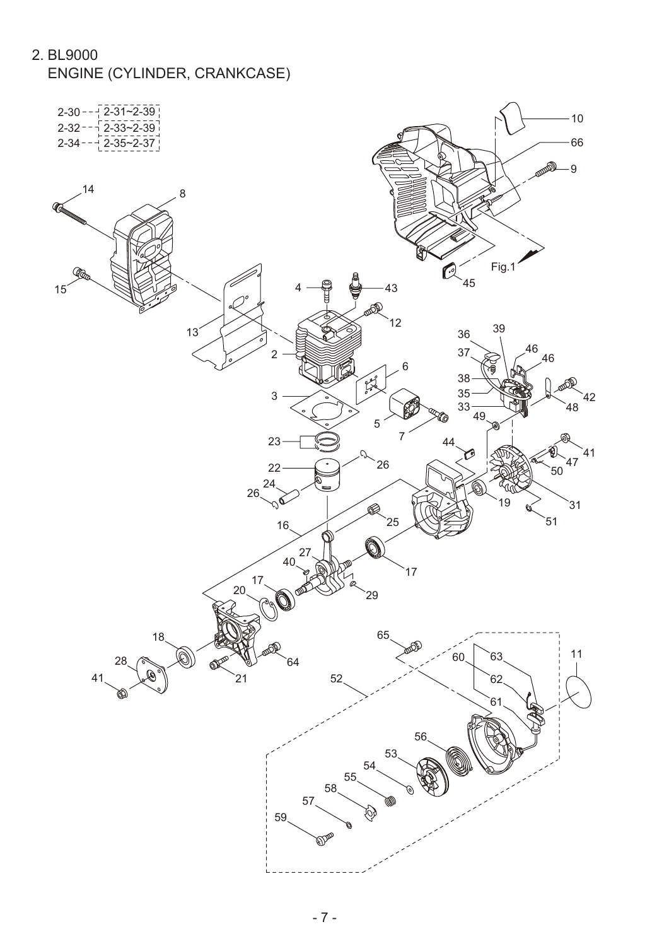2. BL9000

ENGINE (CYLINDER, CRANKCASE)

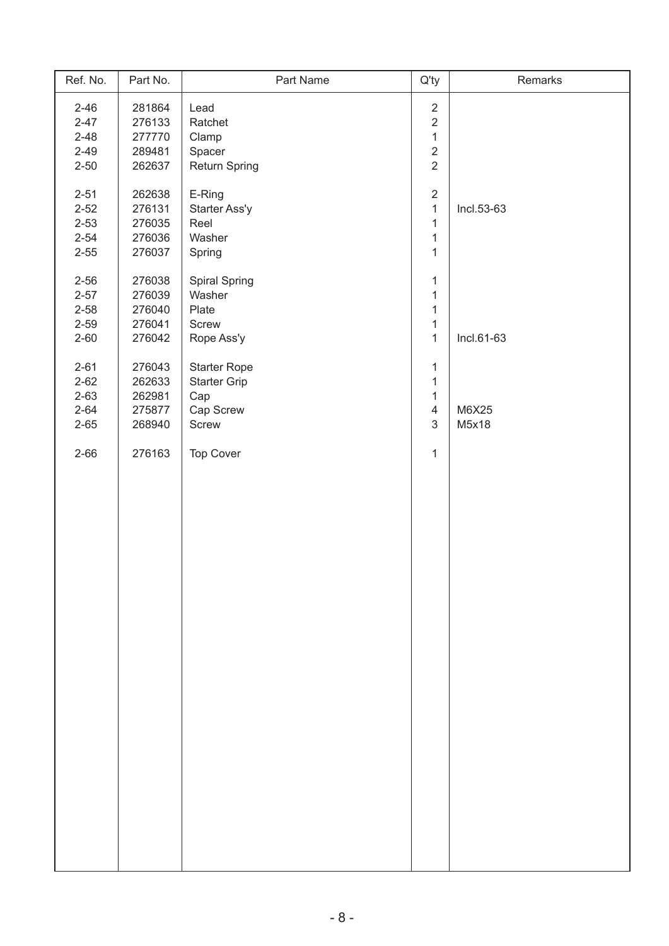| Ref. No. | Part No. | Part Name           | $Q'$ ty        | Remarks    |
|----------|----------|---------------------|----------------|------------|
| $2 - 46$ | 281864   | Lead                | $\overline{2}$ |            |
| $2 - 47$ | 276133   | Ratchet             | $\overline{2}$ |            |
| $2 - 48$ | 277770   | Clamp               | $\mathbf{1}$   |            |
| $2 - 49$ | 289481   | Spacer              | $\overline{2}$ |            |
| $2 - 50$ | 262637   | Return Spring       | $\overline{2}$ |            |
|          |          |                     |                |            |
| $2 - 51$ | 262638   | E-Ring              | $\overline{2}$ |            |
| $2 - 52$ | 276131   | Starter Ass'y       | $\mathbf{1}$   | Incl.53-63 |
| $2 - 53$ | 276035   | Reel                | $\mathbf{1}$   |            |
| $2 - 54$ | 276036   | Washer              | $\mathbf{1}$   |            |
| $2 - 55$ | 276037   | Spring              | $\mathbf 1$    |            |
| $2 - 56$ | 276038   | Spiral Spring       | 1              |            |
| $2 - 57$ | 276039   | Washer              | 1              |            |
| $2 - 58$ | 276040   | Plate               | 1              |            |
| $2 - 59$ | 276041   | Screw               | $\mathbf{1}$   |            |
| $2 - 60$ | 276042   | Rope Ass'y          | $\mathbf 1$    | Incl.61-63 |
|          |          |                     |                |            |
| $2 - 61$ | 276043   | <b>Starter Rope</b> | 1              |            |
| $2 - 62$ | 262633   | Starter Grip        | 1              |            |
| $2 - 63$ | 262981   | Cap                 | 1              |            |
| $2 - 64$ | 275877   | Cap Screw           | $\overline{4}$ | M6X25      |
| $2 - 65$ | 268940   | Screw               | $\mathfrak{S}$ | M5x18      |
| $2 - 66$ | 276163   | Top Cover           | 1              |            |
|          |          |                     |                |            |
|          |          |                     |                |            |
|          |          |                     |                |            |
|          |          |                     |                |            |
|          |          |                     |                |            |
|          |          |                     |                |            |
|          |          |                     |                |            |
|          |          |                     |                |            |
|          |          |                     |                |            |
|          |          |                     |                |            |
|          |          |                     |                |            |
|          |          |                     |                |            |
|          |          |                     |                |            |
|          |          |                     |                |            |
|          |          |                     |                |            |
|          |          |                     |                |            |
|          |          |                     |                |            |
|          |          |                     |                |            |
|          |          |                     |                |            |
|          |          |                     |                |            |
|          |          |                     |                |            |
|          |          |                     |                |            |
|          |          |                     |                |            |
|          |          |                     |                |            |
|          |          |                     |                |            |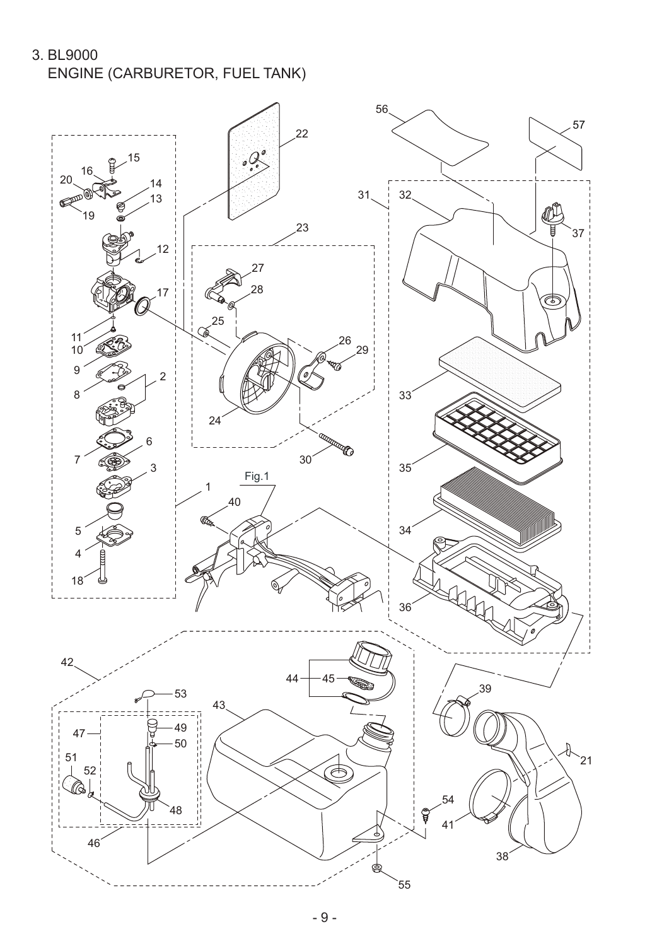3. BL9000 ENGINE (CARBURETOR, FUEL TANK)

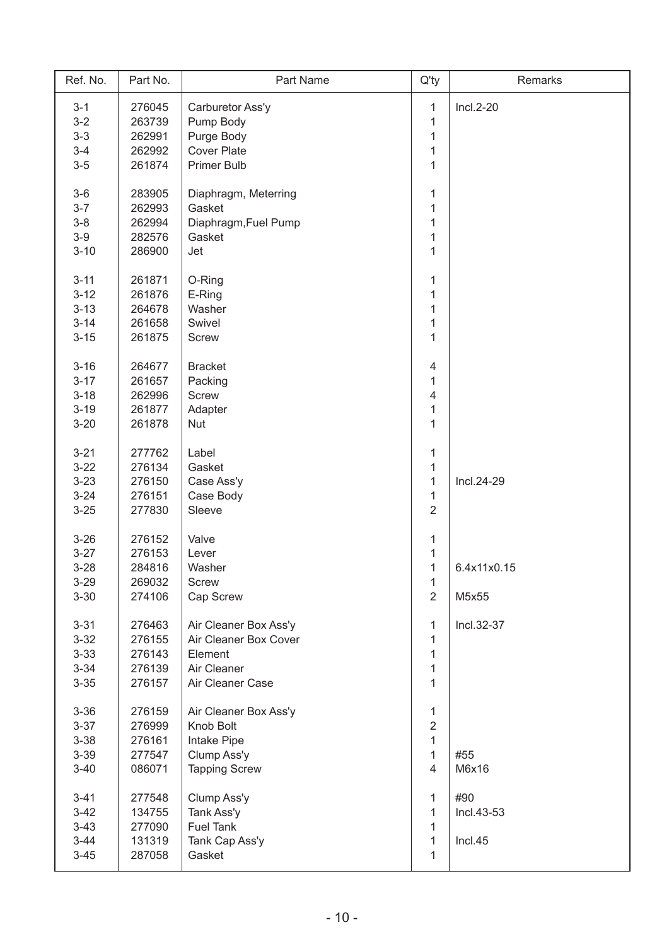| Ref. No. | Part No. | Part Name             | $Q'$ ty                 | Remarks     |
|----------|----------|-----------------------|-------------------------|-------------|
| $3 - 1$  | 276045   | Carburetor Ass'y      | 1                       | $Incl.2-20$ |
| $3 - 2$  | 263739   | Pump Body             | $\mathbf{1}$            |             |
| $3 - 3$  | 262991   | Purge Body            | $\mathbf 1$             |             |
| $3-4$    | 262992   | <b>Cover Plate</b>    | $\mathbf{1}$            |             |
| $3-5$    | 261874   | <b>Primer Bulb</b>    | $\mathbf{1}$            |             |
|          |          |                       |                         |             |
| $3-6$    | 283905   | Diaphragm, Meterring  | 1                       |             |
| $3 - 7$  | 262993   | Gasket                | 1                       |             |
| $3 - 8$  | 262994   | Diaphragm, Fuel Pump  | $\mathbf{1}$            |             |
| $3-9$    | 282576   | Gasket                | $\mathbf{1}$            |             |
| $3 - 10$ | 286900   | Jet                   | $\mathbf{1}$            |             |
|          |          |                       |                         |             |
| $3 - 11$ | 261871   | O-Ring                | 1                       |             |
| $3 - 12$ | 261876   | E-Ring                | $\mathbf{1}$            |             |
| $3 - 13$ | 264678   | Washer                | $\mathbf{1}$            |             |
| $3 - 14$ | 261658   | Swivel                | 1                       |             |
| $3 - 15$ | 261875   | <b>Screw</b>          | $\mathbf{1}$            |             |
|          |          |                       |                         |             |
| $3 - 16$ | 264677   | <b>Bracket</b>        | $\overline{\mathbf{4}}$ |             |
| $3 - 17$ | 261657   | Packing               | $\mathbf{1}$            |             |
| $3 - 18$ | 262996   | <b>Screw</b>          | 4                       |             |
| $3 - 19$ | 261877   | Adapter               | $\mathbf{1}$            |             |
| $3 - 20$ | 261878   | <b>Nut</b>            | $\mathbf{1}$            |             |
|          |          |                       |                         |             |
| $3 - 21$ | 277762   | Label                 | $\mathbf{1}$            |             |
| $3 - 22$ | 276134   | Gasket                | $\mathbf 1$             |             |
| $3 - 23$ | 276150   | Case Ass'y            | $\mathbf{1}$            | Incl.24-29  |
| $3 - 24$ | 276151   | Case Body             | $\mathbf{1}$            |             |
| $3 - 25$ | 277830   | Sleeve                | $\overline{2}$          |             |
| $3 - 26$ | 276152   | Valve                 | $\mathbf{1}$            |             |
| $3 - 27$ | 276153   | Lever                 | $\mathbf 1$             |             |
| $3 - 28$ | 284816   | Washer                | $\mathbf{1}$            | 6.4x11x0.15 |
| $3 - 29$ | 269032   | <b>Screw</b>          | 1                       |             |
| $3 - 30$ | 274106   | Cap Screw             | $\overline{2}$          | M5x55       |
|          |          |                       |                         |             |
| $3 - 31$ | 276463   | Air Cleaner Box Ass'y | 1                       | Incl.32-37  |
| $3 - 32$ | 276155   | Air Cleaner Box Cover | 1                       |             |
| $3 - 33$ | 276143   | Element               | $\mathbf{1}$            |             |
| $3 - 34$ | 276139   | Air Cleaner           | 1                       |             |
| $3 - 35$ | 276157   | Air Cleaner Case      | $\mathbf{1}$            |             |
|          |          |                       |                         |             |
| $3 - 36$ | 276159   | Air Cleaner Box Ass'y | 1                       |             |
| $3 - 37$ | 276999   | Knob Bolt             | $\overline{2}$          |             |
| $3 - 38$ | 276161   | Intake Pipe           | 1                       |             |
| $3 - 39$ | 277547   | Clump Ass'y           | $\mathbf{1}$            | #55         |
| $3 - 40$ | 086071   | <b>Tapping Screw</b>  | $\overline{4}$          | M6x16       |
|          |          |                       |                         |             |
| $3 - 41$ | 277548   | Clump Ass'y           | $\mathbf{1}$            | #90         |
| $3 - 42$ | 134755   | Tank Ass'y            | 1                       | Incl.43-53  |
| $3 - 43$ | 277090   | <b>Fuel Tank</b>      | 1                       |             |
| $3 - 44$ | 131319   | Tank Cap Ass'y        | $\mathbf{1}$            | Incl.45     |
| $3 - 45$ | 287058   | Gasket                | $\mathbf{1}$            |             |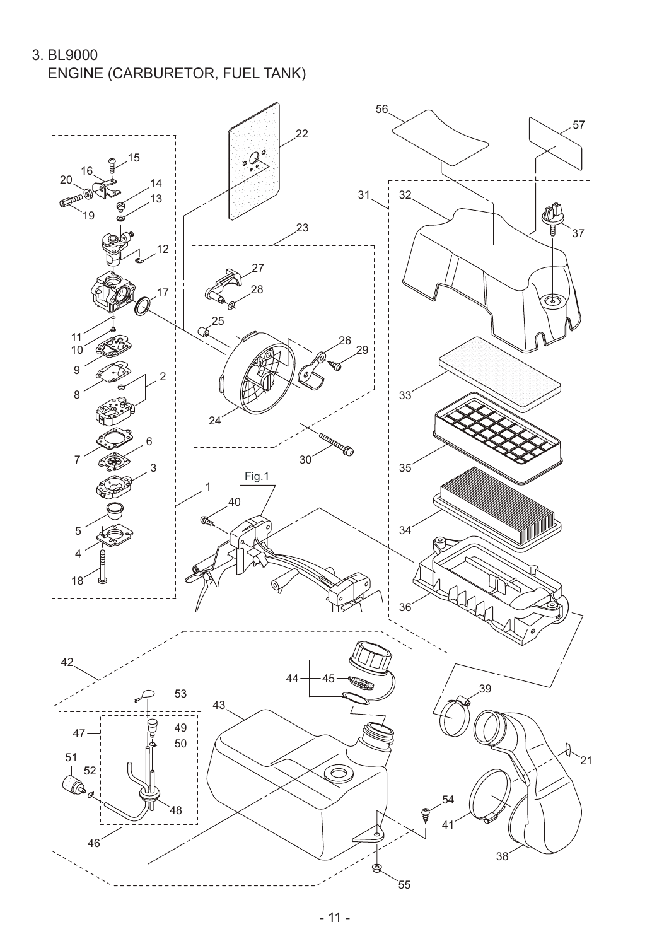3. BL9000 ENGINE (CARBURETOR, FUEL TANK)

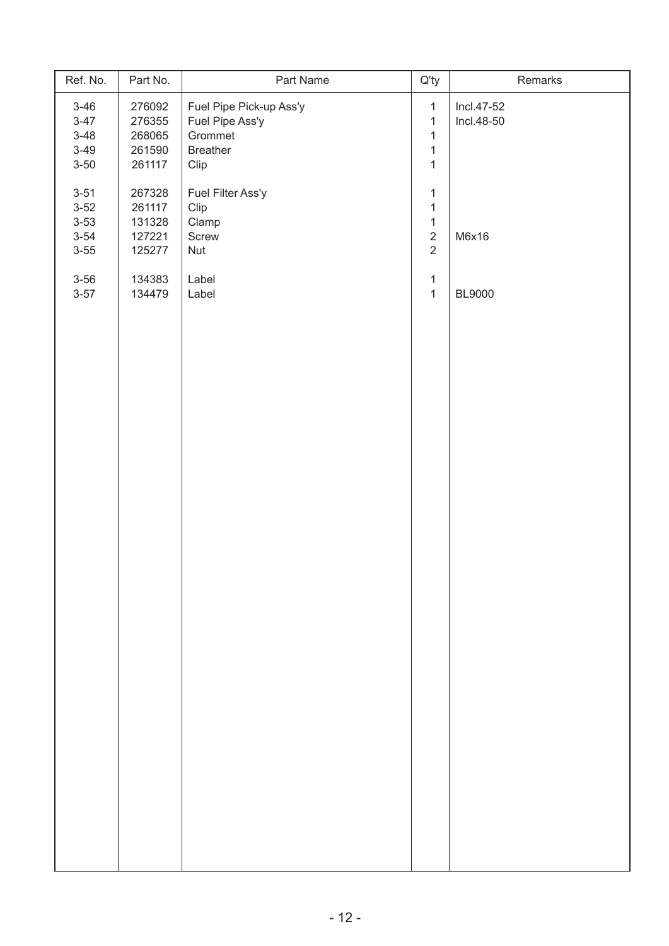| Ref. No.                                                 | Part No.                                       | Part Name                                                                        | $Q'$ ty                                                                      | Remarks                  |
|----------------------------------------------------------|------------------------------------------------|----------------------------------------------------------------------------------|------------------------------------------------------------------------------|--------------------------|
| $3 - 46$<br>$3 - 47$<br>$3 - 48$<br>$3 - 49$<br>$3 - 50$ | 276092<br>276355<br>268065<br>261590<br>261117 | Fuel Pipe Pick-up Ass'y<br>Fuel Pipe Ass'y<br>Grommet<br><b>Breather</b><br>Clip | $\mathbf{1}$<br>$\mathbf{1}$<br>$\mathbf{1}$<br>$\mathbf{1}$<br>$\mathbf{1}$ | Incl.47-52<br>Incl.48-50 |
| $3 - 51$<br>$3 - 52$<br>$3 - 53$<br>$3 - 54$<br>$3 - 55$ | 267328<br>261117<br>131328<br>127221<br>125277 | Fuel Filter Ass'y<br>Clip<br>Clamp<br>Screw<br>Nut                               | $\mathbf{1}$<br>$\mathbf{1}$<br>$\mathbf{1}$<br>$\sqrt{2}$<br>$\overline{2}$ | M6x16                    |
| $3 - 56$<br>$3 - 57$                                     | 134383<br>134479                               | Label<br>Label                                                                   | $\mathbf{1}$<br>$\mathbf{1}$                                                 | <b>BL9000</b>            |
|                                                          |                                                |                                                                                  |                                                                              |                          |
|                                                          |                                                |                                                                                  |                                                                              |                          |
|                                                          |                                                |                                                                                  |                                                                              |                          |
|                                                          |                                                |                                                                                  |                                                                              |                          |
|                                                          |                                                |                                                                                  |                                                                              |                          |
|                                                          |                                                |                                                                                  |                                                                              |                          |
|                                                          |                                                |                                                                                  |                                                                              |                          |
|                                                          |                                                |                                                                                  |                                                                              |                          |
|                                                          |                                                |                                                                                  |                                                                              |                          |
|                                                          |                                                |                                                                                  |                                                                              |                          |
|                                                          |                                                |                                                                                  |                                                                              |                          |
|                                                          |                                                |                                                                                  |                                                                              |                          |
|                                                          |                                                |                                                                                  |                                                                              |                          |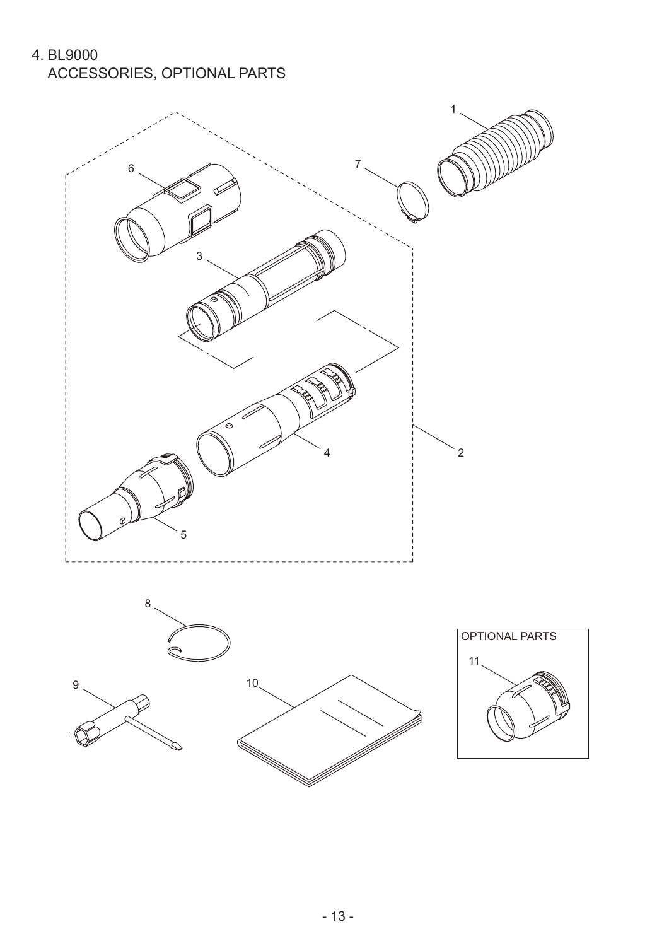4. BL9000 ACCESSORIES, OPTIONAL PARTS